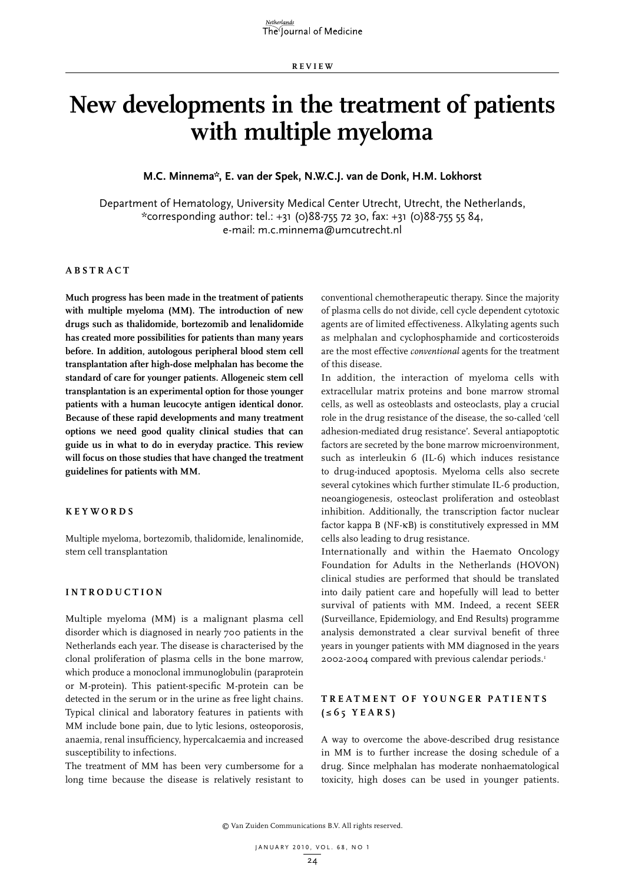**RE V IE W**

# **New developments in the treatment of patients with multiple myeloma**

## **M.C. Minnema\*, E. van der Spek, N.W.C.J. van de Donk, H.M. Lokhorst**

Department of Hematology, University Medical Center Utrecht, Utrecht, the Netherlands, \*corresponding author: tel.: +31 (0)88-755 72 30, fax: +31 (0)88-755 55 84, e-mail: m.c.minnema@umcutrecht.nl

#### **A B STRA C T**

**Much progress has been made in the treatment of patients with multiple myeloma (MM). The introduction of new drugs such as thalidomide, bortezomib and lenalidomide has created more possibilities for patients than many years before. In addition, autologous peripheral blood stem cell transplantation after high-dose melphalan has become the standard of care for younger patients. Allogeneic stem cell transplantation is an experimental option for those younger patients with a human leucocyte antigen identical donor. Because of these rapid developments and many treatment options we need good quality clinical studies that can guide us in what to do in everyday practice. This review will focus on those studies that have changed the treatment guidelines for patients with MM.**

#### **K E Y W ORDS**

Multiple myeloma, bortezomib, thalidomide, lenalinomide, stem cell transplantation

### **INTROD U C TION**

Multiple myeloma (MM) is a malignant plasma cell disorder which is diagnosed in nearly 700 patients in the Netherlands each year. The disease is characterised by the clonal proliferation of plasma cells in the bone marrow, which produce a monoclonal immunoglobulin (paraprotein or M-protein). This patient-specific M-protein can be detected in the serum or in the urine as free light chains. Typical clinical and laboratory features in patients with MM include bone pain, due to lytic lesions, osteoporosis, anaemia, renal insufficiency, hypercalcaemia and increased susceptibility to infections.

The treatment of MM has been very cumbersome for a long time because the disease is relatively resistant to conventional chemotherapeutic therapy. Since the majority of plasma cells do not divide, cell cycle dependent cytotoxic agents are of limited effectiveness. Alkylating agents such as melphalan and cyclophosphamide and corticosteroids are the most effective *conventional* agents for the treatment of this disease.

In addition, the interaction of myeloma cells with extracellular matrix proteins and bone marrow stromal cells, as well as osteoblasts and osteoclasts, play a crucial role in the drug resistance of the disease, the so-called 'cell adhesion-mediated drug resistance'. Several antiapoptotic factors are secreted by the bone marrow microenvironment, such as interleukin 6 (IL-6) which induces resistance to drug-induced apoptosis. Myeloma cells also secrete several cytokines which further stimulate IL-6 production, neoangiogenesis, osteoclast proliferation and osteoblast inhibition. Additionally, the transcription factor nuclear factor kappa B (NF-κB) is constitutively expressed in MM cells also leading to drug resistance.

Internationally and within the Haemato Oncology Foundation for Adults in the Netherlands (HOVON) clinical studies are performed that should be translated into daily patient care and hopefully will lead to better survival of patients with MM. Indeed, a recent SEER (Surveillance, Epidemiology, and End Results) programme analysis demonstrated a clear survival benefit of three years in younger patients with MM diagnosed in the years 2002-2004 compared with previous calendar periods.1

## **TREAT M ENT OF Y O U N G ER PATIENTS (≤65 Y EARS )**

A way to overcome the above-described drug resistance in MM is to further increase the dosing schedule of a drug. Since melphalan has moderate nonhaematological toxicity, high doses can be used in younger patients.

© Van Zuiden Communications B.V. All rights reserved.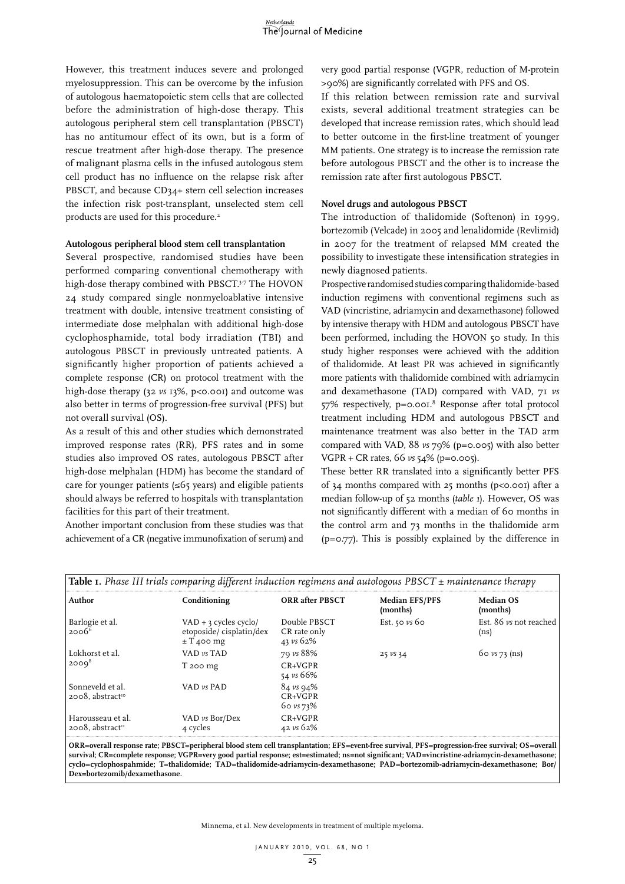However, this treatment induces severe and prolonged myelosuppression. This can be overcome by the infusion of autologous haematopoietic stem cells that are collected before the administration of high-dose therapy. This autologous peripheral stem cell transplantation (PBSCT) has no antitumour effect of its own, but is a form of rescue treatment after high-dose therapy. The presence of malignant plasma cells in the infused autologous stem cell product has no influence on the relapse risk after PBSCT, and because CD34+ stem cell selection increases the infection risk post-transplant, unselected stem cell products are used for this procedure.<sup>2</sup>

#### **Autologous peripheral blood stem cell transplantation**

Several prospective, randomised studies have been performed comparing conventional chemotherapy with high-dose therapy combined with PBSCT.<sup>3-7</sup> The HOVON 24 study compared single nonmyeloablative intensive treatment with double, intensive treatment consisting of intermediate dose melphalan with additional high-dose cyclophosphamide, total body irradiation (TBI) and autologous PBSCT in previously untreated patients. A significantly higher proportion of patients achieved a complete response (CR) on protocol treatment with the high-dose therapy (32 *vs* 13%, p<0.001) and outcome was also better in terms of progression-free survival (PFS) but not overall survival (OS).

As a result of this and other studies which demonstrated improved response rates (RR), PFS rates and in some studies also improved OS rates, autologous PBSCT after high-dose melphalan (HDM) has become the standard of care for younger patients (≤65 years) and eligible patients should always be referred to hospitals with transplantation facilities for this part of their treatment.

Another important conclusion from these studies was that achievement of a CR (negative immunofixation of serum) and very good partial response (VGPR, reduction of M-protein >90%) are significantly correlated with PFS and OS.

If this relation between remission rate and survival exists, several additional treatment strategies can be developed that increase remission rates, which should lead to better outcome in the first-line treatment of younger MM patients. One strategy is to increase the remission rate before autologous PBSCT and the other is to increase the remission rate after first autologous PBSCT.

### **Novel drugs and autologous PBSCT**

The introduction of thalidomide (Softenon) in 1999, bortezomib (Velcade) in 2005 and lenalidomide (Revlimid) in 2007 for the treatment of relapsed MM created the possibility to investigate these intensification strategies in newly diagnosed patients.

Prospective randomised studies comparing thalidomide-based induction regimens with conventional regimens such as VAD (vincristine, adriamycin and dexamethasone) followed by intensive therapy with HDM and autologous PBSCT have been performed, including the HOVON 50 study. In this study higher responses were achieved with the addition of thalidomide. At least PR was achieved in significantly more patients with thalidomide combined with adriamycin and dexamethasone (TAD) compared with VAD, 71 *vs* 57% respectively, p=0.001.8 Response after total protocol treatment including HDM and autologous PBSCT and maintenance treatment was also better in the TAD arm compared with VAD, 88 *vs* 79% (p=0.005) with also better VGPR + CR rates, 66 *vs* 54% (p=0.005).

These better RR translated into a significantly better PFS of 34 months compared with 25 months (p<0.001) after a median follow-up of 52 months (*table 1*). However, OS was not significantly different with a median of 60 months in the control arm and 73 months in the thalidomide arm (p=0.77). This is possibly explained by the difference in

| Author                                               | Conditioning                                                         | <b>ORR</b> after PBSCT                        | <b>Median EFS/PFS</b><br>(months) | <b>Median OS</b><br>(months)                |
|------------------------------------------------------|----------------------------------------------------------------------|-----------------------------------------------|-----------------------------------|---------------------------------------------|
| Barlogie et al.<br>$2006^6$                          | $VAD + 3$ cycles cyclo/<br>etoposide/cisplatin/dex<br>$\pm$ T 400 mg | Double PBSCT<br>CR rate only<br>43 vs 62%     | Est. 50 $\nu s$ 60                | Est. 86 vs not reached<br>(n <sub>s</sub> ) |
| Lokhorst et al.<br>2000 <sup>8</sup>                 | $VAD$ vs $TAD$                                                       | 79 vs 88%                                     | $25 \nu s 34$                     | $60 \nu s$ 73 (ns)                          |
|                                                      | T 200 mg                                                             | $CR+VGPR$<br>54 vs 66%                        |                                   |                                             |
| Sonneveld et al.<br>2008. abstract <sup>10</sup>     | VAD $\nu s$ PAD                                                      | $84 \nu s$ 94%<br>$CR+VGPR$<br>$60 \nu s$ 73% |                                   |                                             |
| Harousseau et al.<br>$2008$ , abstract <sup>11</sup> | VAD vs Bor/Dex<br>4 cycles                                           | $CR+VGPR$<br>42 vs 62%                        |                                   |                                             |

**ORR=overall response rate; PBSCT=peripheral blood stem cell transplantation; EFS=event-free survival, PFS=progression-free survival; OS=overall survival; CR=complete response; VGPR=very good partial response; est=estimated; ns=not significant; VAD=vincristine-adriamycin-dexamethasone; cyclo=cyclophospahmide; T=thalidomide; TAD=thalidomide-adriamycin-dexamethasone; PAD=bortezomib-adriamycin-dexamethasone; Bor/ Dex=bortezomib/dexamethasone.**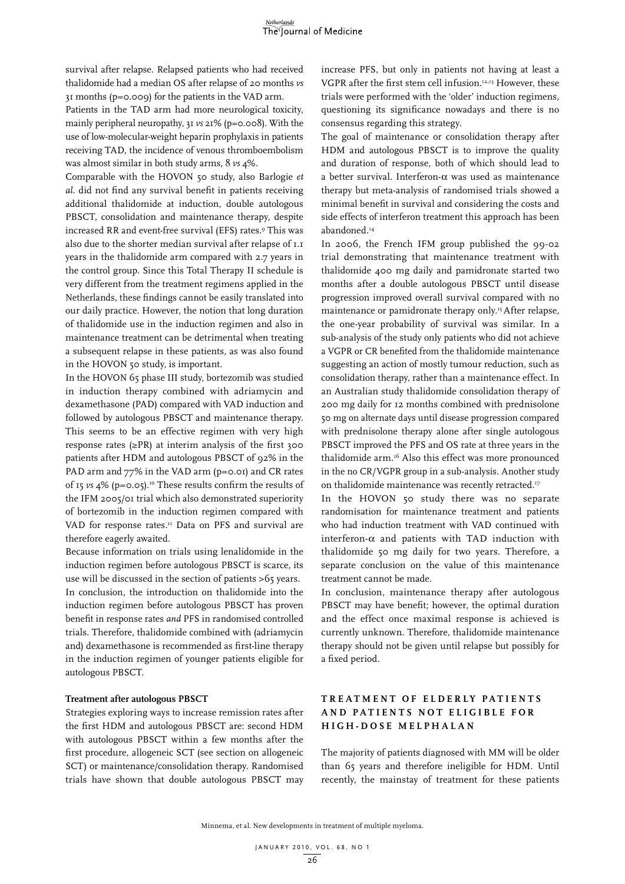survival after relapse. Relapsed patients who had received thalidomide had a median OS after relapse of 20 months *vs* 31 months (p=0.009) for the patients in the VAD arm.

Patients in the TAD arm had more neurological toxicity, mainly peripheral neuropathy, 31 *vs* 21% (p=0.008). With the use of low-molecular-weight heparin prophylaxis in patients receiving TAD, the incidence of venous thromboembolism was almost similar in both study arms, 8 *vs* 4%.

Comparable with the HOVON 50 study, also Barlogie *et al.* did not find any survival benefit in patients receiving additional thalidomide at induction, double autologous PBSCT, consolidation and maintenance therapy, despite increased RR and event-free survival (EFS) rates.9 This was also due to the shorter median survival after relapse of 1.1 years in the thalidomide arm compared with 2.7 years in the control group. Since this Total Therapy II schedule is very different from the treatment regimens applied in the Netherlands, these findings cannot be easily translated into our daily practice. However, the notion that long duration of thalidomide use in the induction regimen and also in maintenance treatment can be detrimental when treating a subsequent relapse in these patients, as was also found in the HOVON 50 study, is important.

In the HOVON 65 phase III study, bortezomib was studied in induction therapy combined with adriamycin and dexamethasone (PAD) compared with VAD induction and followed by autologous PBSCT and maintenance therapy. This seems to be an effective regimen with very high response rates  $(\geq PR)$  at interim analysis of the first 300 patients after HDM and autologous PBSCT of 92% in the PAD arm and 77% in the VAD arm (p=0.01) and CR rates of 15 *vs* 4% (p=0.05).10 These results confirm the results of the IFM 2005/01 trial which also demonstrated superiority of bortezomib in the induction regimen compared with VAD for response rates.<sup>11</sup> Data on PFS and survival are therefore eagerly awaited.

Because information on trials using lenalidomide in the induction regimen before autologous PBSCT is scarce, its use will be discussed in the section of patients >65 years. In conclusion, the introduction on thalidomide into the induction regimen before autologous PBSCT has proven benefit in response rates *and* PFS in randomised controlled trials. Therefore, thalidomide combined with (adriamycin and) dexamethasone is recommended as first-line therapy in the induction regimen of younger patients eligible for autologous PBSCT.

### **Treatment after autologous PBSCT**

Strategies exploring ways to increase remission rates after the first HDM and autologous PBSCT are: second HDM with autologous PBSCT within a few months after the first procedure, allogeneic SCT (see section on allogeneic SCT) or maintenance/consolidation therapy. Randomised trials have shown that double autologous PBSCT may increase PFS, but only in patients not having at least a VGPR after the first stem cell infusion.12,13 However, these trials were performed with the 'older' induction regimens, questioning its significance nowadays and there is no consensus regarding this strategy.

The goal of maintenance or consolidation therapy after HDM and autologous PBSCT is to improve the quality and duration of response, both of which should lead to a better survival. Interferon-α was used as maintenance therapy but meta-analysis of randomised trials showed a minimal benefit in survival and considering the costs and side effects of interferon treatment this approach has been abandoned.<sup>14</sup>

In 2006, the French IFM group published the 99-02 trial demonstrating that maintenance treatment with thalidomide 400 mg daily and pamidronate started two months after a double autologous PBSCT until disease progression improved overall survival compared with no maintenance or pamidronate therapy only.<sup>15</sup> After relapse, the one-year probability of survival was similar. In a sub-analysis of the study only patients who did not achieve a VGPR or CR benefited from the thalidomide maintenance suggesting an action of mostly tumour reduction, such as consolidation therapy, rather than a maintenance effect. In an Australian study thalidomide consolidation therapy of 200 mg daily for 12 months combined with prednisolone 50 mg on alternate days until disease progression compared with prednisolone therapy alone after single autologous PBSCT improved the PFS and OS rate at three years in the thalidomide arm.16 Also this effect was more pronounced in the no CR/VGPR group in a sub-analysis. Another study on thalidomide maintenance was recently retracted.<sup>17</sup>

In the HOVON 50 study there was no separate randomisation for maintenance treatment and patients who had induction treatment with VAD continued with interferon- $\alpha$  and patients with TAD induction with thalidomide 50 mg daily for two years. Therefore, a separate conclusion on the value of this maintenance treatment cannot be made.

In conclusion, maintenance therapy after autologous PBSCT may have benefit; however, the optimal duration and the effect once maximal response is achieved is currently unknown. Therefore, thalidomide maintenance therapy should not be given until relapse but possibly for a fixed period.

## **TREAT M ENT OF ELDERL Y PATIENTS AND PATIENTS NOT ELI G I B LE FOR H I GH- DOSE M EL P H ALAN**

The majority of patients diagnosed with MM will be older than 65 years and therefore ineligible for HDM. Until recently, the mainstay of treatment for these patients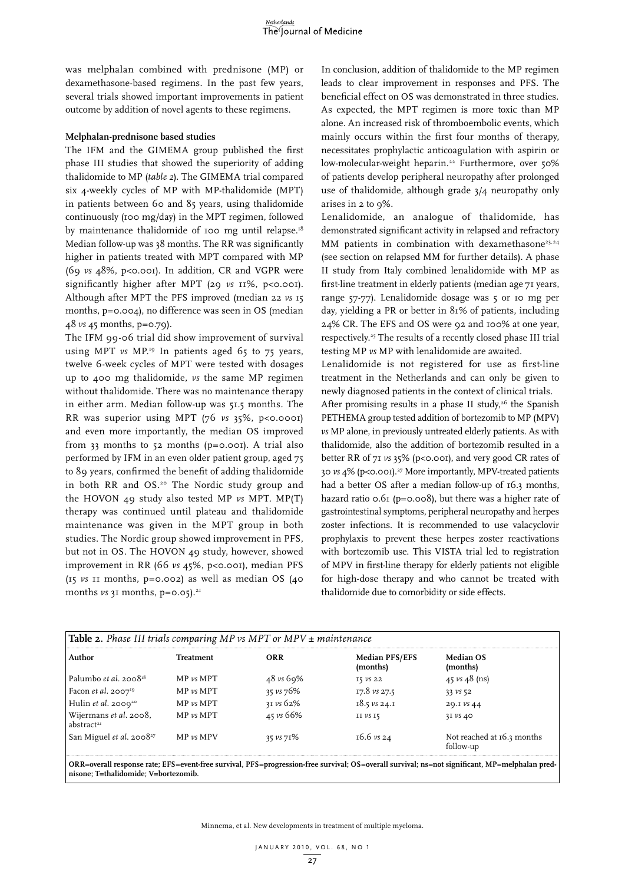was melphalan combined with prednisone (MP) or dexamethasone-based regimens. In the past few years, several trials showed important improvements in patient outcome by addition of novel agents to these regimens.

#### **Melphalan-prednisone based studies**

The IFM and the GIMEMA group published the first phase III studies that showed the superiority of adding thalidomide to MP (*table 2*). The GIMEMA trial compared six 4-weekly cycles of MP with MP-thalidomide (MPT) in patients between 60 and 85 years, using thalidomide continuously (100 mg/day) in the MPT regimen, followed by maintenance thalidomide of 100 mg until relapse.<sup>18</sup> Median follow-up was 38 months. The RR was significantly higher in patients treated with MPT compared with MP (69 *vs* 48%, p<0.001). In addition, CR and VGPR were significantly higher after MPT (29  $\nu$ s 11%, p<0.001). Although after MPT the PFS improved (median 22 *vs* 15 months, p=0.004), no difference was seen in OS (median 48 *vs* 45 months, p=0.79).

The IFM 99-06 trial did show improvement of survival using MPT *vs* MP.<sup>19</sup> In patients aged 65 to 75 years, twelve 6-week cycles of MPT were tested with dosages up to 400 mg thalidomide, *vs* the same MP regimen without thalidomide. There was no maintenance therapy in either arm. Median follow-up was 51.5 months. The RR was superior using MPT (76 *vs* 35%, p<0.0001) and even more importantly, the median OS improved from 33 months to 52 months (p=0.001). A trial also performed by IFM in an even older patient group, aged 75 to 89 years, confirmed the benefit of adding thalidomide in both RR and OS.<sup>20</sup> The Nordic study group and the HOVON 49 study also tested MP *vs* MPT. MP(T) therapy was continued until plateau and thalidomide maintenance was given in the MPT group in both studies. The Nordic group showed improvement in PFS, but not in OS. The HOVON 49 study, however, showed improvement in RR (66 *vs* 45%, p<0.001), median PFS (15 *vs* 11 months, p=0.002) as well as median OS (40 months  $\nu s$  31 months,  $p = 0.05$ ).<sup>21</sup>

In conclusion, addition of thalidomide to the MP regimen leads to clear improvement in responses and PFS. The beneficial effect on OS was demonstrated in three studies. As expected, the MPT regimen is more toxic than MP alone. An increased risk of thromboembolic events, which mainly occurs within the first four months of therapy, necessitates prophylactic anticoagulation with aspirin or low-molecular-weight heparin.<sup>22</sup> Furthermore, over 50% of patients develop peripheral neuropathy after prolonged use of thalidomide, although grade 3/4 neuropathy only arises in 2 to 9%.

Lenalidomide, an analogue of thalidomide, has demonstrated significant activity in relapsed and refractory MM patients in combination with dexamethasone<sup>23,24</sup> (see section on relapsed MM for further details). A phase II study from Italy combined lenalidomide with MP as first-line treatment in elderly patients (median age 71 years, range 57-77). Lenalidomide dosage was 5 or 10 mg per day, yielding a PR or better in 81% of patients, including 24% CR. The EFS and OS were 92 and 100% at one year, respectively.25 The results of a recently closed phase III trial testing MP *vs* MP with lenalidomide are awaited.

Lenalidomide is not registered for use as first-line treatment in the Netherlands and can only be given to newly diagnosed patients in the context of clinical trials.

After promising results in a phase II study, $26$  the Spanish PETHEMA group tested addition of bortezomib to MP (MPV) *vs* MP alone, in previously untreated elderly patients. As with thalidomide, also the addition of bortezomib resulted in a better RR of 71 *vs* 35% (p<0.001), and very good CR rates of 30 *vs* 4% (p<0.001).27 More importantly, MPV-treated patients had a better OS after a median follow-up of 16.3 months, hazard ratio 0.61 (p=0.008), but there was a higher rate of gastrointestinal symptoms, peripheral neuropathy and herpes zoster infections. It is recommended to use valacyclovir prophylaxis to prevent these herpes zoster reactivations with bortezomib use. This VISTA trial led to registration of MPV in first-line therapy for elderly patients not eligible for high-dose therapy and who cannot be treated with thalidomide due to comorbidity or side effects.

| <b>Table 2.</b> Phase III trials comparing MP vs MPT or MPV $\pm$ maintenance |                   |             |                                   |                                                                                                                                                |  |
|-------------------------------------------------------------------------------|-------------------|-------------|-----------------------------------|------------------------------------------------------------------------------------------------------------------------------------------------|--|
| Author                                                                        | <b>Treatment</b>  | ORR         | <b>Median PFS/EFS</b><br>(months) | <b>Median OS</b><br>(months)                                                                                                                   |  |
| Palumbo et al. $2008^{18}$                                                    | $MP \nu s \, MPT$ | 48 vs 69%   | I5 VS 22                          | 45 vs $48$ (ns)                                                                                                                                |  |
| Facon <i>et al.</i> 2007 <sup>19</sup>                                        | $MP \nu s \, MPT$ | 35 vs 76%   | $17.8$ vs $27.5$                  | 33 VS 52                                                                                                                                       |  |
| Hulin et al. 2009 <sup>20</sup>                                               | $MP \nu s \, MPT$ | 31 vs 62%   | $18.5$ vs 24.1                    | 29.IVS 44                                                                                                                                      |  |
| Wijermans et al. 2008,<br>abstract <sup>21</sup>                              | $MP \nu s \, MPT$ | 45 vs 66%   | $II$ $VS$ $IS$                    | $3I$ VS 40                                                                                                                                     |  |
| San Miguel et al. 2008 <sup>27</sup>                                          | $MP$ vs MPV       | 35 $vs$ 71% | $16.6 \text{ vs } 24$             | Not reached at 16.3 months<br>follow-up                                                                                                        |  |
|                                                                               |                   |             |                                   | ORR=overall response rate; EFS=event-free survival, PFS=progression-free survival; OS=overall survival; ns=not significant, MP=melphalan pred- |  |

**nisone; T=thalidomide; V=bortezomib.**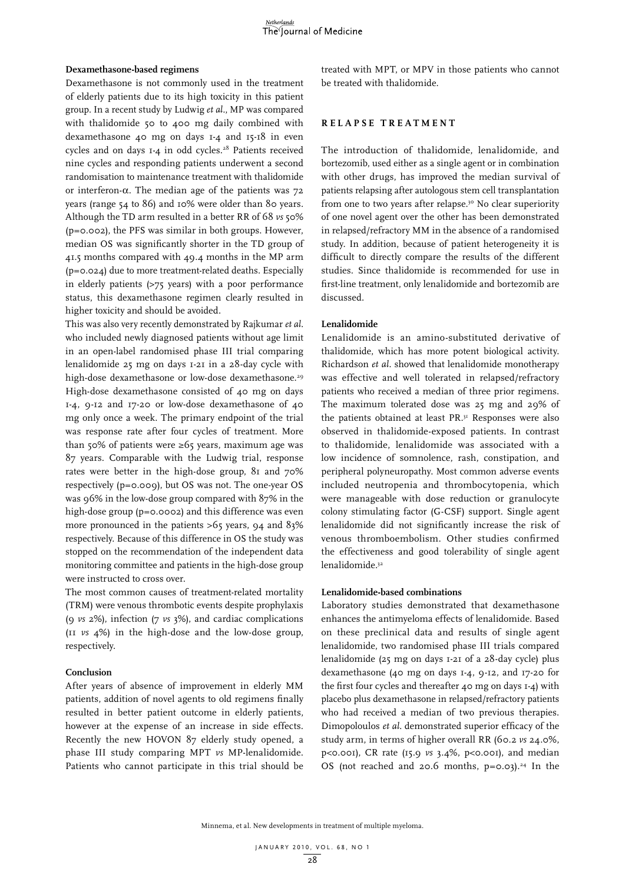#### **Dexamethasone-based regimens**

Dexamethasone is not commonly used in the treatment of elderly patients due to its high toxicity in this patient group. In a recent study by Ludwig *et al.*, MP was compared with thalidomide 50 to 400 mg daily combined with dexamethasone 40 mg on days 1-4 and 15-18 in even cycles and on days 1-4 in odd cycles.<sup>28</sup> Patients received nine cycles and responding patients underwent a second randomisation to maintenance treatment with thalidomide or interferon-α. The median age of the patients was 72 years (range 54 to 86) and 10% were older than 80 years. Although the TD arm resulted in a better RR of 68 *vs* 50% (p=0.002), the PFS was similar in both groups. However, median OS was significantly shorter in the TD group of 41.5 months compared with 49.4 months in the MP arm (p=0.024) due to more treatment-related deaths. Especially in elderly patients (>75 years) with a poor performance status, this dexamethasone regimen clearly resulted in higher toxicity and should be avoided.

This was also very recently demonstrated by Rajkumar *et al.* who included newly diagnosed patients without age limit in an open-label randomised phase III trial comparing lenalidomide 25 mg on days 1-21 in a 28-day cycle with high-dose dexamethasone or low-dose dexamethasone.<sup>29</sup> High-dose dexamethasone consisted of 40 mg on days 1-4, 9-12 and 17-20 or low-dose dexamethasone of 40 mg only once a week. The primary endpoint of the trial was response rate after four cycles of treatment. More than 50% of patients were  $\geq 65$  years, maximum age was 87 years. Comparable with the Ludwig trial, response rates were better in the high-dose group, 81 and 70% respectively (p=0.009), but OS was not. The one-year OS was 96% in the low-dose group compared with 87% in the high-dose group (p=0.0002) and this difference was even more pronounced in the patients >65 years, 94 and 83% respectively. Because of this difference in OS the study was stopped on the recommendation of the independent data monitoring committee and patients in the high-dose group were instructed to cross over.

The most common causes of treatment-related mortality (TRM) were venous thrombotic events despite prophylaxis (9 *vs* 2%), infection (7 *vs* 3%), and cardiac complications (11 *vs* 4%) in the high-dose and the low-dose group, respectively.

#### **Conclusion**

After years of absence of improvement in elderly MM patients, addition of novel agents to old regimens finally resulted in better patient outcome in elderly patients, however at the expense of an increase in side effects. Recently the new HOVON 87 elderly study opened, a phase III study comparing MPT *vs* MP-lenalidomide. Patients who cannot participate in this trial should be

treated with MPT, or MPV in those patients who cannot be treated with thalidomide.

#### **RELA P SE TREAT M ENT**

The introduction of thalidomide, lenalidomide, and bortezomib, used either as a single agent or in combination with other drugs, has improved the median survival of patients relapsing after autologous stem cell transplantation from one to two years after relapse.<sup>30</sup> No clear superiority of one novel agent over the other has been demonstrated in relapsed/refractory MM in the absence of a randomised study. In addition, because of patient heterogeneity it is difficult to directly compare the results of the different studies. Since thalidomide is recommended for use in first-line treatment, only lenalidomide and bortezomib are discussed.

#### **Lenalidomide**

Lenalidomide is an amino-substituted derivative of thalidomide, which has more potent biological activity. Richardson *et al.* showed that lenalidomide monotherapy was effective and well tolerated in relapsed/refractory patients who received a median of three prior regimens. The maximum tolerated dose was 25 mg and 29% of the patients obtained at least PR.31 Responses were also observed in thalidomide-exposed patients. In contrast to thalidomide, lenalidomide was associated with a low incidence of somnolence, rash, constipation, and peripheral polyneuropathy. Most common adverse events included neutropenia and thrombocytopenia, which were manageable with dose reduction or granulocyte colony stimulating factor (G-CSF) support. Single agent lenalidomide did not significantly increase the risk of venous thromboembolism. Other studies confirmed the effectiveness and good tolerability of single agent lenalidomide.32

#### **Lenalidomide-based combinations**

Laboratory studies demonstrated that dexamethasone enhances the antimyeloma effects of lenalidomide. Based on these preclinical data and results of single agent lenalidomide, two randomised phase III trials compared lenalidomide (25 mg on days 1-21 of a 28-day cycle) plus dexamethasone (40 mg on days 1-4, 9-12, and 17-20 for the first four cycles and thereafter 40 mg on days 1-4) with placebo plus dexamethasone in relapsed/refractory patients who had received a median of two previous therapies. Dimopoloulos *et al.* demonstrated superior efficacy of the study arm, in terms of higher overall RR (60.2 *vs* 24.0%, p<0.001), CR rate (15.9 *vs* 3.4%, p<0.001), and median OS (not reached and 20.6 months,  $p=0.03$ ).<sup>24</sup> In the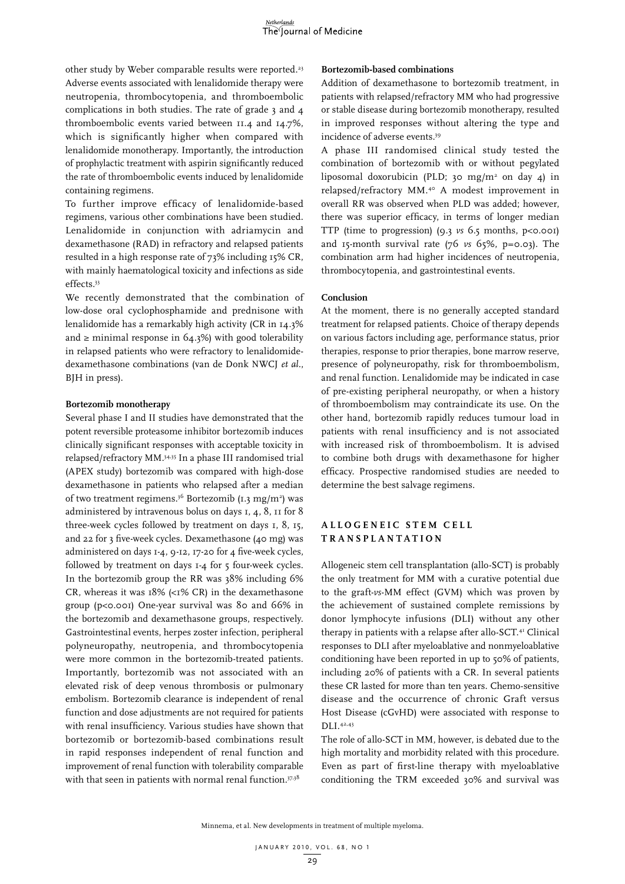other study by Weber comparable results were reported.<sup>23</sup> Adverse events associated with lenalidomide therapy were neutropenia, thrombocytopenia, and thromboembolic complications in both studies. The rate of grade 3 and 4 thromboembolic events varied between 11.4 and 14.7%, which is significantly higher when compared with lenalidomide monotherapy. Importantly, the introduction of prophylactic treatment with aspirin significantly reduced the rate of thromboembolic events induced by lenalidomide containing regimens.

To further improve efficacy of lenalidomide-based regimens, various other combinations have been studied. Lenalidomide in conjunction with adriamycin and dexamethasone (RAD) in refractory and relapsed patients resulted in a high response rate of 73% including 15% CR, with mainly haematological toxicity and infections as side effects.33

We recently demonstrated that the combination of low-dose oral cyclophosphamide and prednisone with lenalidomide has a remarkably high activity (CR in 14.3% and  $\ge$  minimal response in 64.3%) with good tolerability in relapsed patients who were refractory to lenalidomidedexamethasone combinations (van de Donk NWCJ *et al.*, BJH in press).

#### **Bortezomib monotherapy**

Several phase I and II studies have demonstrated that the potent reversible proteasome inhibitor bortezomib induces clinically significant responses with acceptable toxicity in relapsed/refractory MM.34,35 In a phase III randomised trial (APEX study) bortezomib was compared with high-dose dexamethasone in patients who relapsed after a median of two treatment regimens.<sup>36</sup> Bortezomib (1.3 mg/m<sup>2</sup>) was administered by intravenous bolus on days 1, 4, 8, 11 for 8 three-week cycles followed by treatment on days 1, 8, 15, and 22 for 3 five-week cycles. Dexamethasone (40 mg) was administered on days 1-4, 9-12, 17-20 for 4 five-week cycles, followed by treatment on days 1-4 for 5 four-week cycles. In the bortezomib group the RR was 38% including 6% CR, whereas it was  $18\%$  (<1% CR) in the dexamethasone group (p<0.001) One-year survival was 80 and 66% in the bortezomib and dexamethasone groups, respectively. Gastrointestinal events, herpes zoster infection, peripheral polyneuropathy, neutropenia, and thrombocytopenia were more common in the bortezomib-treated patients. Importantly, bortezomib was not associated with an elevated risk of deep venous thrombosis or pulmonary embolism. Bortezomib clearance is independent of renal function and dose adjustments are not required for patients with renal insufficiency. Various studies have shown that bortezomib or bortezomib-based combinations result in rapid responses independent of renal function and improvement of renal function with tolerability comparable with that seen in patients with normal renal function.<sup>37,38</sup>

#### **Bortezomib-based combinations**

Addition of dexamethasone to bortezomib treatment, in patients with relapsed/refractory MM who had progressive or stable disease during bortezomib monotherapy, resulted in improved responses without altering the type and incidence of adverse events.39

A phase III randomised clinical study tested the combination of bortezomib with or without pegylated liposomal doxorubicin (PLD; 30 mg/m<sup>2</sup> on day 4) in relapsed/refractory MM.40 A modest improvement in overall RR was observed when PLD was added; however, there was superior efficacy, in terms of longer median TTP (time to progression) (9.3 *vs* 6.5 months, p<0.001) and 15-month survival rate (76 *vs* 65%, p=0.03). The combination arm had higher incidences of neutropenia, thrombocytopenia, and gastrointestinal events.

### **Conclusion**

At the moment, there is no generally accepted standard treatment for relapsed patients. Choice of therapy depends on various factors including age, performance status, prior therapies, response to prior therapies, bone marrow reserve, presence of polyneuropathy, risk for thromboembolism, and renal function. Lenalidomide may be indicated in case of pre-existing peripheral neuropathy, or when a history of thromboembolism may contraindicate its use. On the other hand, bortezomib rapidly reduces tumour load in patients with renal insufficiency and is not associated with increased risk of thromboembolism. It is advised to combine both drugs with dexamethasone for higher efficacy. Prospective randomised studies are needed to determine the best salvage regimens.

## **ALLO G ENEI C STE M C ELL TRANS P LANTATION**

Allogeneic stem cell transplantation (allo-SCT) is probably the only treatment for MM with a curative potential due to the graft-*vs*-MM effect (GVM) which was proven by the achievement of sustained complete remissions by donor lymphocyte infusions (DLI) without any other therapy in patients with a relapse after allo-SCT.<sup>41</sup> Clinical responses to DLI after myeloablative and nonmyeloablative conditioning have been reported in up to 50% of patients, including 20% of patients with a CR. In several patients these CR lasted for more than ten years. Chemo-sensitive disease and the occurrence of chronic Graft versus Host Disease (cGvHD) were associated with response to DLI.42,43

The role of allo-SCT in MM, however, is debated due to the high mortality and morbidity related with this procedure. Even as part of first-line therapy with myeloablative conditioning the TRM exceeded 30% and survival was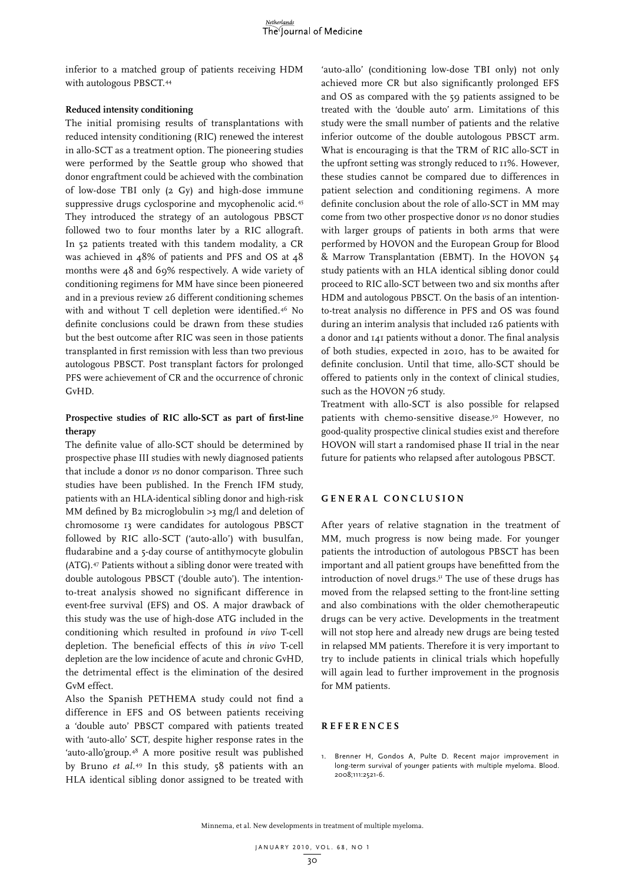inferior to a matched group of patients receiving HDM with autologous PBSCT.44

#### **Reduced intensity conditioning**

The initial promising results of transplantations with reduced intensity conditioning (RIC) renewed the interest in allo-SCT as a treatment option. The pioneering studies were performed by the Seattle group who showed that donor engraftment could be achieved with the combination of low-dose TBI only (2 Gy) and high-dose immune suppressive drugs cyclosporine and mycophenolic acid.<sup>45</sup> They introduced the strategy of an autologous PBSCT followed two to four months later by a RIC allograft. In 52 patients treated with this tandem modality, a CR was achieved in 48% of patients and PFS and OS at 48 months were 48 and 69% respectively. A wide variety of conditioning regimens for MM have since been pioneered and in a previous review 26 different conditioning schemes with and without T cell depletion were identified.46 No definite conclusions could be drawn from these studies but the best outcome after RIC was seen in those patients transplanted in first remission with less than two previous autologous PBSCT. Post transplant factors for prolonged PFS were achievement of CR and the occurrence of chronic GvHD.

## **Prospective studies of RIC allo-SCT as part of first-line therapy**

The definite value of allo-SCT should be determined by prospective phase III studies with newly diagnosed patients that include a donor *vs* no donor comparison. Three such studies have been published. In the French IFM study, patients with an HLA-identical sibling donor and high-risk MM defined by B2 microglobulin >3 mg/l and deletion of chromosome 13 were candidates for autologous PBSCT followed by RIC allo-SCT ('auto-allo') with busulfan, fludarabine and a 5-day course of antithymocyte globulin (ATG).47 Patients without a sibling donor were treated with double autologous PBSCT ('double auto'). The intentionto-treat analysis showed no significant difference in event-free survival (EFS) and OS. A major drawback of this study was the use of high-dose ATG included in the conditioning which resulted in profound *in vivo* T-cell depletion. The beneficial effects of this *in vivo* T-cell depletion are the low incidence of acute and chronic GvHD, the detrimental effect is the elimination of the desired GvM effect.

Also the Spanish PETHEMA study could not find a difference in EFS and OS between patients receiving a 'double auto' PBSCT compared with patients treated with 'auto-allo' SCT, despite higher response rates in the 'auto-allo'group.48 A more positive result was published by Bruno *et al.*49 In this study, 58 patients with an HLA identical sibling donor assigned to be treated with

'auto-allo' (conditioning low-dose TBI only) not only achieved more CR but also significantly prolonged EFS and OS as compared with the 59 patients assigned to be treated with the 'double auto' arm. Limitations of this study were the small number of patients and the relative inferior outcome of the double autologous PBSCT arm. What is encouraging is that the TRM of RIC allo-SCT in the upfront setting was strongly reduced to 11%. However, these studies cannot be compared due to differences in patient selection and conditioning regimens. A more definite conclusion about the role of allo-SCT in MM may come from two other prospective donor *vs* no donor studies with larger groups of patients in both arms that were performed by HOVON and the European Group for Blood & Marrow Transplantation (EBMT). In the HOVON 54 study patients with an HLA identical sibling donor could proceed to RIC allo-SCT between two and six months after HDM and autologous PBSCT. On the basis of an intentionto-treat analysis no difference in PFS and OS was found during an interim analysis that included 126 patients with a donor and 141 patients without a donor. The final analysis of both studies, expected in 2010, has to be awaited for definite conclusion. Until that time, allo-SCT should be offered to patients only in the context of clinical studies, such as the HOVON 76 study.

Treatment with allo-SCT is also possible for relapsed patients with chemo-sensitive disease.<sup>50</sup> However, no good-quality prospective clinical studies exist and therefore HOVON will start a randomised phase II trial in the near future for patients who relapsed after autologous PBSCT.

### **G ENERAL C ON C L U SION**

After years of relative stagnation in the treatment of MM, much progress is now being made. For younger patients the introduction of autologous PBSCT has been important and all patient groups have benefitted from the introduction of novel drugs.<sup>51</sup> The use of these drugs has moved from the relapsed setting to the front-line setting and also combinations with the older chemotherapeutic drugs can be very active. Developments in the treatment will not stop here and already new drugs are being tested in relapsed MM patients. Therefore it is very important to try to include patients in clinical trials which hopefully will again lead to further improvement in the prognosis for MM patients.

### **REFEREN C ES**

1. Brenner H, Gondos A, Pulte D. Recent major improvement in long-term survival of younger patients with multiple myeloma. Blood. 2008;111:2521-6.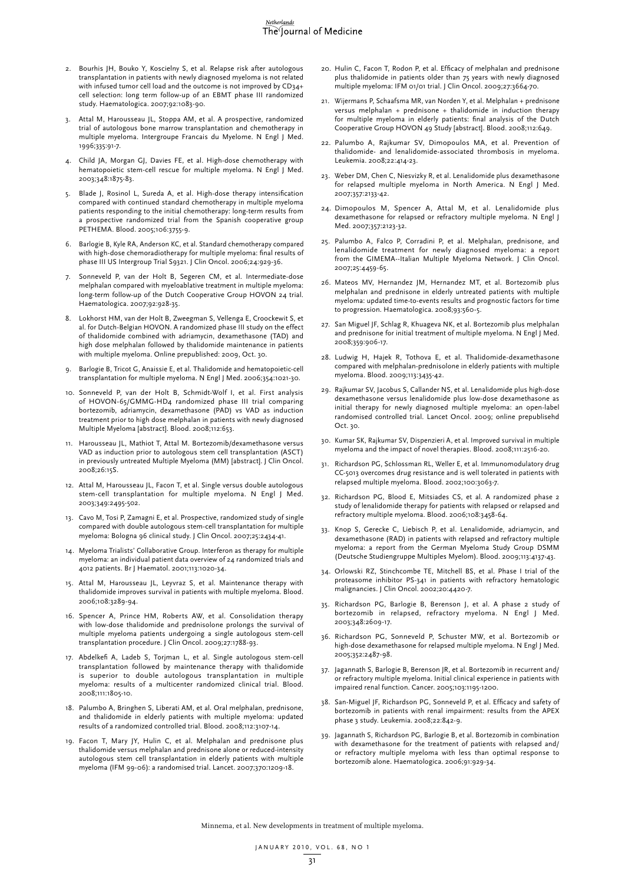- 2. Bourhis JH, Bouko Y, Koscielny S, et al. Relapse risk after autologous transplantation in patients with newly diagnosed myeloma is not related with infused tumor cell load and the outcome is not improved by CD34+ cell selection: long term follow-up of an EBMT phase III randomized study. Haematologica. 2007;92:1083-90.
- 3. Attal M, Harousseau JL, Stoppa AM, et al. A prospective, randomized trial of autologous bone marrow transplantation and chemotherapy in multiple myeloma. Intergroupe Francais du Myelome. N Engl J Med. 1996;335:91-7.
- 4. Child JA, Morgan GJ, Davies FE, et al. High-dose chemotherapy with hematopoietic stem-cell rescue for multiple myeloma. N Engl J Med. 2003;348:1875-83.
- Blade J, Rosinol L, Sureda A, et al. High-dose therapy intensification compared with continued standard chemotherapy in multiple myeloma patients responding to the initial chemotherapy: long-term results from a prospective randomized trial from the Spanish cooperative group PETHEMA. Blood. 2005;106:3755-9.
- 6. Barlogie B, Kyle RA, Anderson KC, et al. Standard chemotherapy compared with high-dose chemoradiotherapy for multiple myeloma: final results of phase III US Intergroup Trial S9321. J Clin Oncol. 2006;24:929-36.
- Sonneveld P, van der Holt B, Segeren CM, et al. Intermediate-dose melphalan compared with myeloablative treatment in multiple myeloma: long-term follow-up of the Dutch Cooperative Group HOVON 24 trial. Haematologica. 2007;92:928-35.
- 8. Lokhorst HM, van der Holt B, Zweegman S, Vellenga E, Croockewit S, et al. for Dutch-Belgian HOVON. A randomized phase III study on the effect of thalidomide combined with adriamycin, dexamethasone (TAD) and high dose melphalan followed by thalidomide maintenance in patients with multiple myeloma. Online prepublished: 2009, Oct. 30.
- 9. Barlogie B, Tricot G, Anaissie E, et al. Thalidomide and hematopoietic-cell transplantation for multiple myeloma. N Engl J Med. 2006;354:1021-30.
- 10. Sonneveld P, van der Holt B, Schmidt-Wolf I, et al. First analysis of HOVON-65/GMMG-HD4 randomized phase III trial comparing bortezomib, adriamycin, dexamethasone (PAD) vs VAD as induction treatment prior to high dose melphalan in patients with newly diagnosed Multiple Myeloma [abstract]. Blood. 2008;112:653.
- 11. Harousseau JL, Mathiot T, Attal M. Bortezomib/dexamethasone versus VAD as induction prior to autologous stem cell transplantation (ASCT) in previously untreated Multiple Myeloma (MM) [abstract]. J Clin Oncol. 2008;26:15S.
- 12. Attal M, Harousseau JL, Facon T, et al. Single versus double autologous stem-cell transplantation for multiple myeloma. N Engl J Med. 2003;349:2495-502.
- 13. Cavo M, Tosi P, Zamagni E, et al. Prospective, randomized study of single compared with double autologous stem-cell transplantation for multiple myeloma: Bologna 96 clinical study. J Clin Oncol. 2007;25:2434-41.
- 14. Myeloma Trialists' Collaborative Group. Interferon as therapy for multiple myeloma: an individual patient data overview of 24 randomized trials and 4012 patients. Br J Haematol. 2001;113:1020-34.
- 15. Attal M, Harousseau JL, Leyvraz S, et al. Maintenance therapy with thalidomide improves survival in patients with multiple myeloma. Blood. 2006;108:3289-94.
- 16. Spencer A, Prince HM, Roberts AW, et al. Consolidation therapy with low-dose thalidomide and prednisolone prolongs the survival of multiple myeloma patients undergoing a single autologous stem-cell transplantation procedure. J Clin Oncol. 2009;27:1788-93.
- 17. Abdelkefi A, Ladeb S, Torjman L, et al. Single autologous stem-cell transplantation followed by maintenance therapy with thalidomide is superior to double autologous transplantation in multiple myeloma: results of a multicenter randomized clinical trial. Blood. 2008;111:1805-10.
- 18. Palumbo A, Bringhen S, Liberati AM, et al. Oral melphalan, prednisone, and thalidomide in elderly patients with multiple myeloma: updated results of a randomized controlled trial. Blood. 2008;112:3107-14.
- 19. Facon T, Mary JY, Hulin C, et al. Melphalan and prednisone plus thalidomide versus melphalan and prednisone alone or reduced-intensity autologous stem cell transplantation in elderly patients with multiple myeloma (IFM 99-06): a randomised trial. Lancet. 2007;370:1209-18.
- 20. Hulin C, Facon T, Rodon P, et al. Efficacy of melphalan and prednisone plus thalidomide in patients older than 75 years with newly diagnosed multiple myeloma: IFM 01/01 trial. J Clin Oncol. 2009;27:3664-70.
- 21. Wijermans P, Schaafsma MR, van Norden Y, et al. Melphalan + prednisone versus melphalan + prednisone + thalidomide in induction therapy for multiple myeloma in elderly patients: final analysis of the Dutch Cooperative Group HOVON 49 Study [abstract]. Blood. 2008;112:649.
- 22. Palumbo A, Rajkumar SV, Dimopoulos MA, et al. Prevention of thalidomide- and lenalidomide-associated thrombosis in myeloma. Leukemia. 2008;22:414-23.
- 23. Weber DM, Chen C, Niesvizky R, et al. Lenalidomide plus dexamethasone for relapsed multiple myeloma in North America. N Engl J Med. 2007;357:2133-42.
- 24. Dimopoulos M, Spencer A, Attal M, et al. Lenalidomide plus dexamethasone for relapsed or refractory multiple myeloma. N Engl J Med. 2007;357:2123-32.
- 25. Palumbo A, Falco P, Corradini P, et al. Melphalan, prednisone, and lenalidomide treatment for newly diagnosed myeloma: a report from the GIMEMA--Italian Multiple Myeloma Network. J Clin Oncol. 2007;25:4459-65.
- 26. Mateos MV, Hernandez JM, Hernandez MT, et al. Bortezomib plus melphalan and prednisone in elderly untreated patients with multiple myeloma: updated time-to-events results and prognostic factors for time to progression. Haematologica. 2008;93:560-5.
- 27. San Miguel JF, Schlag R, Khuageva NK, et al. Bortezomib plus melphalan and prednisone for initial treatment of multiple myeloma. N Engl J Med. 2008;359:906-17.
- 28. Ludwig H, Hajek R, Tothova E, et al. Thalidomide-dexamethasone compared with melphalan-prednisolone in elderly patients with multiple myeloma. Blood. 2009;113:3435-42.
- 29. Rajkumar SV, Jacobus S, Callander NS, et al. Lenalidomide plus high-dose dexamethasone versus lenalidomide plus low-dose dexamethasone as initial therapy for newly diagnosed multiple myeloma: an open-label randomised controlled trial. Lancet Oncol. 2009; online prepublisehd Oct. 30.
- 30. Kumar SK, Rajkumar SV, Dispenzieri A, et al. Improved survival in multiple myeloma and the impact of novel therapies. Blood. 2008;111:2516-20.
- 31. Richardson PG, Schlossman RL, Weller E, et al. Immunomodulatory drug CC-5013 overcomes drug resistance and is well tolerated in patients with relapsed multiple myeloma. Blood. 2002;100:3063-7.
- 32. Richardson PG, Blood E, Mitsiades CS, et al. A randomized phase 2 study of lenalidomide therapy for patients with relapsed or relapsed and refractory multiple myeloma. Blood. 2006;108:3458-64.
- 33. Knop S, Gerecke C, Liebisch P, et al. Lenalidomide, adriamycin, and dexamethasone (RAD) in patients with relapsed and refractory multiple myeloma: a report from the German Myeloma Study Group DSMM (Deutsche Studiengruppe Multiples Myelom). Blood. 2009;113:4137-43.
- 34. Orlowski RZ, Stinchcombe TE, Mitchell BS, et al. Phase I trial of the proteasome inhibitor PS-341 in patients with refractory hematologic malignancies. J Clin Oncol. 2002;20:4420-7.
- 35. Richardson PG, Barlogie B, Berenson J, et al. A phase 2 study of bortezomib in relapsed, refractory myeloma. N Engl J Med. 2003;348:2609-17.
- 36. Richardson PG, Sonneveld P, Schuster MW, et al. Bortezomib or high-dose dexamethasone for relapsed multiple myeloma. N Engl J Med. 2005;352:2487-98.
- 37. Jagannath S, Barlogie B, Berenson JR, et al. Bortezomib in recurrent and/ or refractory multiple myeloma. Initial clinical experience in patients with impaired renal function. Cancer. 2005;103:1195-1200.
- 38. San-Miguel JF, Richardson PG, Sonneveld P, et al. Efficacy and safety of bortezomib in patients with renal impairment: results from the APEX phase 3 study. Leukemia. 2008;22:842-9.
- 39. Jagannath S, Richardson PG, Barlogie B, et al. Bortezomib in combination with dexamethasone for the treatment of patients with relapsed and/ or refractory multiple myeloma with less than optimal response to bortezomib alone. Haematologica. 2006;91:929-34.